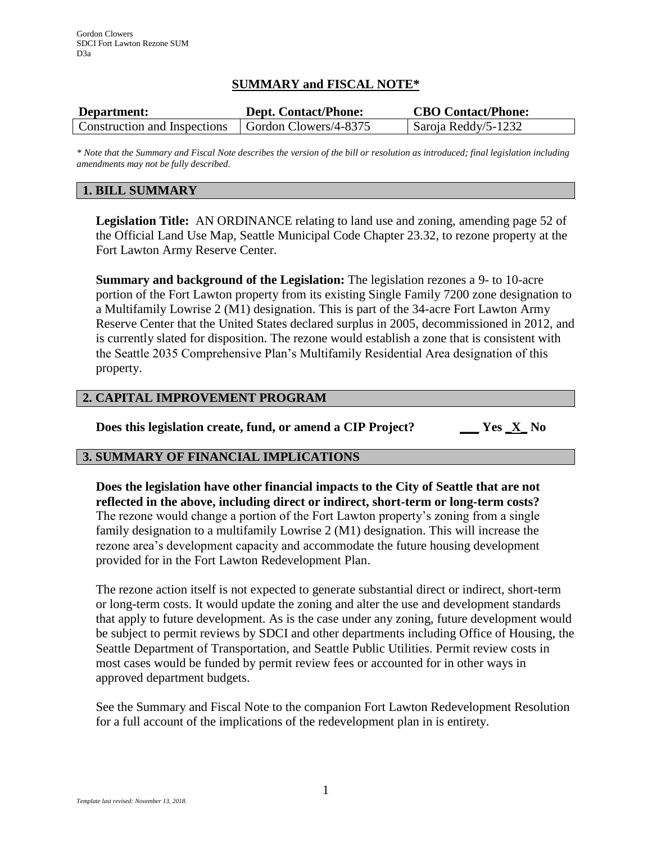## **SUMMARY and FISCAL NOTE\***

| Department:                                          | <b>Dept. Contact/Phone:</b> | <b>CBO Contact/Phone:</b> |
|------------------------------------------------------|-----------------------------|---------------------------|
| Construction and Inspections   Gordon Clowers/4-8375 |                             | Saroja Reddy/5-1232       |

*\* Note that the Summary and Fiscal Note describes the version of the bill or resolution as introduced; final legislation including amendments may not be fully described.*

# **1. BILL SUMMARY**

**Legislation Title:** AN ORDINANCE relating to land use and zoning, amending page 52 of the Official Land Use Map, Seattle Municipal Code Chapter 23.32, to rezone property at the Fort Lawton Army Reserve Center.

**Summary and background of the Legislation:** The legislation rezones a 9- to 10-acre portion of the Fort Lawton property from its existing Single Family 7200 zone designation to a Multifamily Lowrise 2 (M1) designation. This is part of the 34-acre Fort Lawton Army Reserve Center that the United States declared surplus in 2005, decommissioned in 2012, and is currently slated for disposition. The rezone would establish a zone that is consistent with the Seattle 2035 Comprehensive Plan's Multifamily Residential Area designation of this property.

## **2. CAPITAL IMPROVEMENT PROGRAM**

**Does this legislation create, fund, or amend a CIP Project? \_\_\_ Yes \_X\_ No**

#### **3. SUMMARY OF FINANCIAL IMPLICATIONS**

**Does the legislation have other financial impacts to the City of Seattle that are not reflected in the above, including direct or indirect, short-term or long-term costs?** The rezone would change a portion of the Fort Lawton property's zoning from a single family designation to a multifamily Lowrise 2 (M1) designation. This will increase the rezone area's development capacity and accommodate the future housing development provided for in the Fort Lawton Redevelopment Plan.

The rezone action itself is not expected to generate substantial direct or indirect, short-term or long-term costs. It would update the zoning and alter the use and development standards that apply to future development. As is the case under any zoning, future development would be subject to permit reviews by SDCI and other departments including Office of Housing, the Seattle Department of Transportation, and Seattle Public Utilities. Permit review costs in most cases would be funded by permit review fees or accounted for in other ways in approved department budgets.

See the Summary and Fiscal Note to the companion Fort Lawton Redevelopment Resolution for a full account of the implications of the redevelopment plan in is entirety.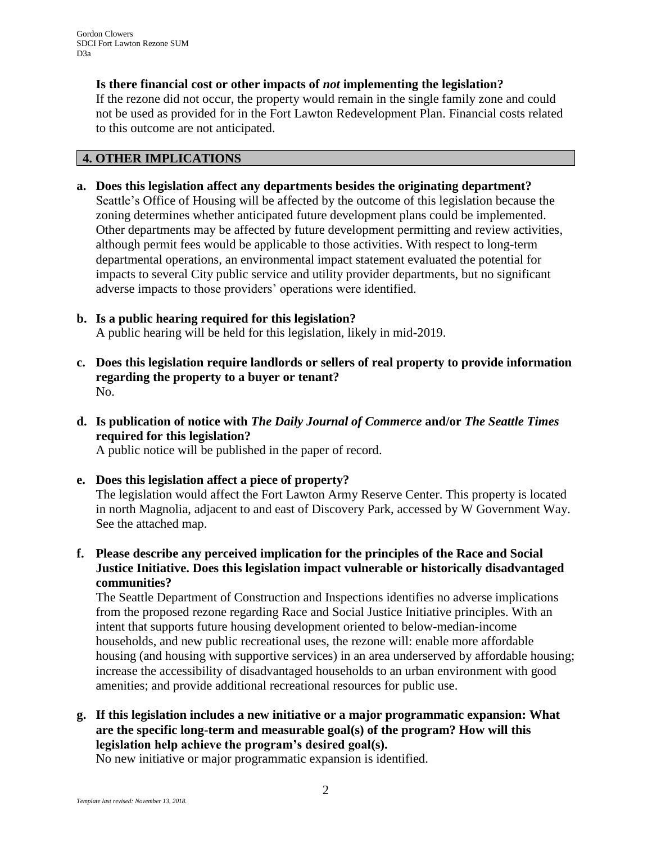**Is there financial cost or other impacts of** *not* **implementing the legislation?**

If the rezone did not occur, the property would remain in the single family zone and could not be used as provided for in the Fort Lawton Redevelopment Plan. Financial costs related to this outcome are not anticipated.

# **4. OTHER IMPLICATIONS**

- **a. Does this legislation affect any departments besides the originating department?** Seattle's Office of Housing will be affected by the outcome of this legislation because the zoning determines whether anticipated future development plans could be implemented. Other departments may be affected by future development permitting and review activities, although permit fees would be applicable to those activities. With respect to long-term departmental operations, an environmental impact statement evaluated the potential for impacts to several City public service and utility provider departments, but no significant adverse impacts to those providers' operations were identified.
- **b. Is a public hearing required for this legislation?** A public hearing will be held for this legislation, likely in mid-2019.
- **c. Does this legislation require landlords or sellers of real property to provide information regarding the property to a buyer or tenant?** No.
- **d. Is publication of notice with** *The Daily Journal of Commerce* **and/or** *The Seattle Times* **required for this legislation?**

A public notice will be published in the paper of record.

- **e. Does this legislation affect a piece of property?** The legislation would affect the Fort Lawton Army Reserve Center. This property is located in north Magnolia, adjacent to and east of Discovery Park, accessed by W Government Way. See the attached map.
- **f. Please describe any perceived implication for the principles of the Race and Social Justice Initiative. Does this legislation impact vulnerable or historically disadvantaged communities?**

The Seattle Department of Construction and Inspections identifies no adverse implications from the proposed rezone regarding Race and Social Justice Initiative principles. With an intent that supports future housing development oriented to below-median-income households, and new public recreational uses, the rezone will: enable more affordable housing (and housing with supportive services) in an area underserved by affordable housing; increase the accessibility of disadvantaged households to an urban environment with good amenities; and provide additional recreational resources for public use.

**g. If this legislation includes a new initiative or a major programmatic expansion: What are the specific long-term and measurable goal(s) of the program? How will this legislation help achieve the program's desired goal(s).**

No new initiative or major programmatic expansion is identified.